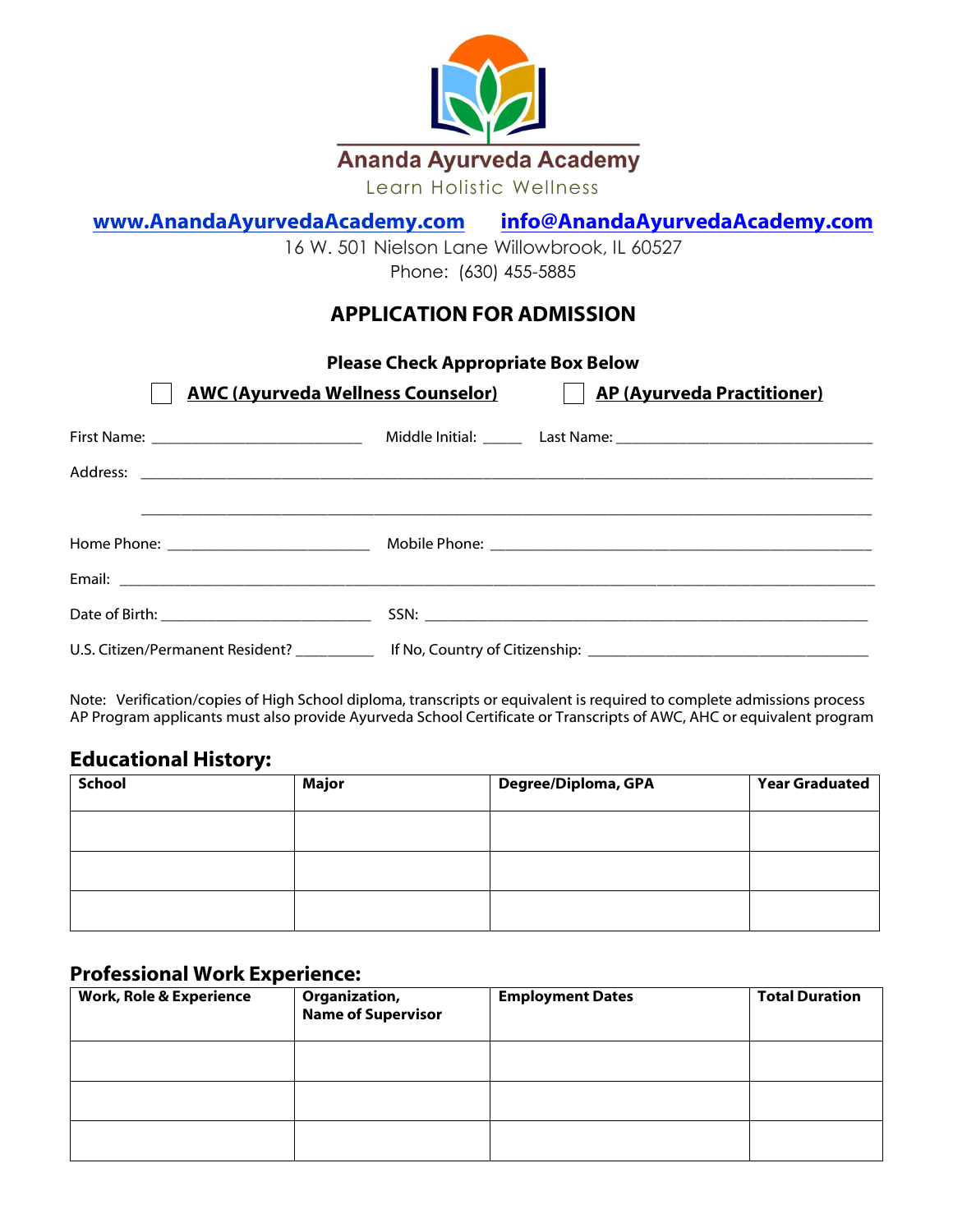

# **[www.AnandaAyurvedaAcademy.](http://www.anandaayurvedaacademy/)com [info@AnandaAyurvedaAcademy.com](mailto:info@AnandaAyurvedaAcademy.com)**

16 W. 501 Nielson Lane Willowbrook, IL 60527 [Phone:](https://www.google.com/search?rlz=1C1SQJL_enUS785US785&q=soderworld+phone&sa=X&ved=0ahUKEwip8uzKrsrbAhWqr1QKHdJTANYQ6BMIuwEwEg) [\(630\) 455-5885](https://www.google.com/search?rlz=1C1SQJL_enUS785US785&ei=DsMdW8jfL4ja0gLk5b7QCA&q=soderworld&oq=soder+world&gs_l=psy-ab.1.0.0i10k1l10.122522.127470.0.129394.38.18.0.0.0.0.335.2572.0j5j3j3.12.0..2..0...1.1.64.psy-ab..27.11.2651.6..0j35i39k1j0i131k1j0i67k1j0i20i263k1j0i20i264k1j0i131i20i264k1j0i131i67k1j0i22i10i30k1j0i22i30k1.233.CIpQ1J2VhxY)

# **APPLICATION FOR ADMISSION**

**Please Check Appropriate Box Below**

| <b>AWC (Ayurveda Wellness Counselor)</b> |  | <b>AP (Ayurveda Practitioner)</b> |  |
|------------------------------------------|--|-----------------------------------|--|
|                                          |  |                                   |  |
|                                          |  |                                   |  |
|                                          |  |                                   |  |
|                                          |  |                                   |  |
|                                          |  |                                   |  |
|                                          |  |                                   |  |

Note: Verification/copies of High School diploma, transcripts or equivalent is required to complete admissions process AP Program applicants must also provide Ayurveda School Certificate or Transcripts of AWC, AHC or equivalent program

# **Educational History:**

| <b>School</b> | <b>Major</b> | Degree/Diploma, GPA | <b>Year Graduated</b> |
|---------------|--------------|---------------------|-----------------------|
|               |              |                     |                       |
|               |              |                     |                       |
|               |              |                     |                       |

## **Professional Work Experience:**

| <b>Work, Role &amp; Experience</b> | <b>Organization,<br/>Name of Supervisor</b> | <b>Employment Dates</b> | <b>Total Duration</b> |
|------------------------------------|---------------------------------------------|-------------------------|-----------------------|
|                                    |                                             |                         |                       |
|                                    |                                             |                         |                       |
|                                    |                                             |                         |                       |